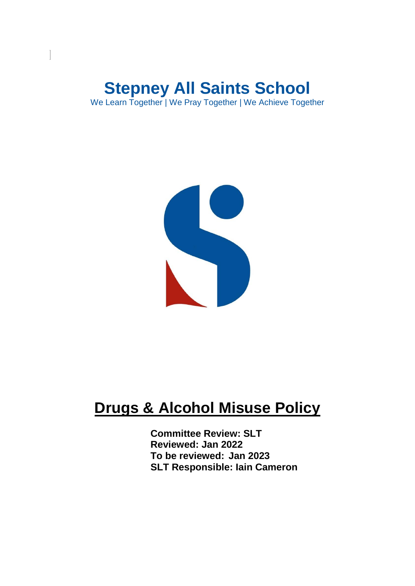# **Stepney All Saints School**

We Learn Together | We Pray Together | We Achieve Together



## **Drugs & Alcohol Misuse Policy**

**Committee Review: SLT Reviewed: Jan 2022 To be reviewed: Jan 2023 SLT Responsible: Iain Cameron**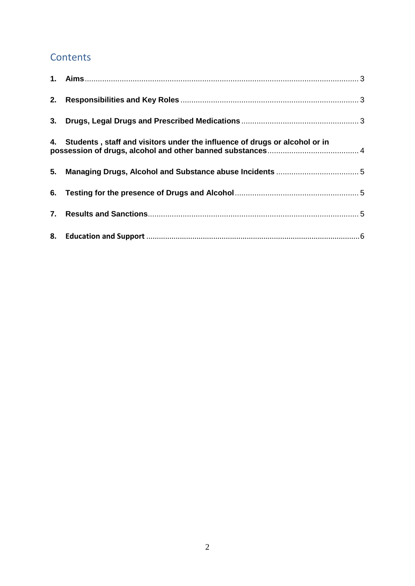### **Contents**

| 4. Students, staff and visitors under the influence of drugs or alcohol or in |  |
|-------------------------------------------------------------------------------|--|
|                                                                               |  |
|                                                                               |  |
|                                                                               |  |
|                                                                               |  |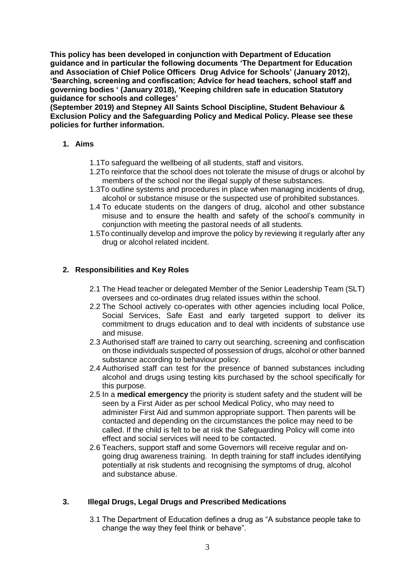**This policy has been developed in conjunction with Department of Education guidance and in particular the following documents 'The Department for Education and Association of Chief Police Officers Drug Advice for Schools' (January 2012), 'Searching, screening and confiscation; Advice for head teachers, school staff and governing bodies ' (January 2018), 'Keeping children safe in education Statutory guidance for schools and colleges'**

**(September 2019) and Stepney All Saints School Discipline, Student Behaviour & Exclusion Policy and the Safeguarding Policy and Medical Policy. Please see these policies for further information.**

#### <span id="page-2-0"></span>**1. Aims**

- 1.1To safeguard the wellbeing of all students, staff and visitors.
- 1.2To reinforce that the school does not tolerate the misuse of drugs or alcohol by members of the school nor the illegal supply of these substances.
- 1.3To outline systems and procedures in place when managing incidents of drug, alcohol or substance misuse or the suspected use of prohibited substances.
- 1.4 To educate students on the dangers of drug, alcohol and other substance misuse and to ensure the health and safety of the school's community in conjunction with meeting the pastoral needs of all students.
- 1.5To continually develop and improve the policy by reviewing it regularly after any drug or alcohol related incident.

#### <span id="page-2-1"></span>**2. Responsibilities and Key Roles**

- 2.1 The Head teacher or delegated Member of the Senior Leadership Team (SLT) oversees and co-ordinates drug related issues within the school.
- 2.2 The School actively co-operates with other agencies including local Police, Social Services, Safe East and early targeted support to deliver its commitment to drugs education and to deal with incidents of substance use and misuse.
- 2.3 Authorised staff are trained to carry out searching, screening and confiscation on those individuals suspected of possession of drugs, alcohol or other banned substance according to behaviour policy.
- 2.4 Authorised staff can test for the presence of banned substances including alcohol and drugs using testing kits purchased by the school specifically for this purpose.
- 2.5 In a **medical emergency** the priority is student safety and the student will be seen by a First Aider as per school Medical Policy, who may need to administer First Aid and summon appropriate support. Then parents will be contacted and depending on the circumstances the police may need to be called. If the child is felt to be at risk the Safeguarding Policy will come into effect and social services will need to be contacted.
- 2.6 Teachers, support staff and some Governors will receive regular and ongoing drug awareness training. In depth training for staff includes identifying potentially at risk students and recognising the symptoms of drug, alcohol and substance abuse.

#### <span id="page-2-2"></span>**3. Illegal Drugs, Legal Drugs and Prescribed Medications**

3.1 The Department of Education defines a drug as "A substance people take to change the way they feel think or behave".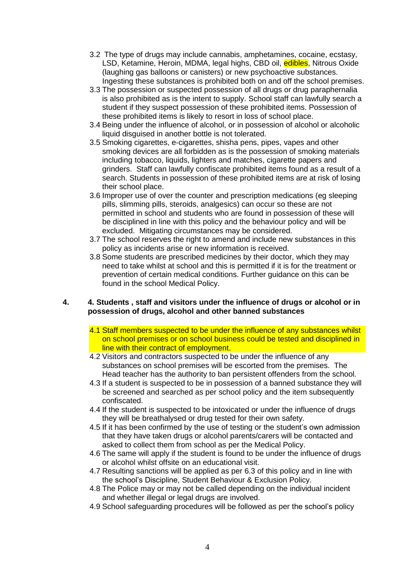- 3.2 The type of drugs may include cannabis, amphetamines, cocaine, ecstasy, LSD, Ketamine, Heroin, MDMA, legal highs, CBD oil, edibles, Nitrous Oxide (laughing gas balloons or canisters) or new psychoactive substances. Ingesting these substances is prohibited both on and off the school premises.
- 3.3 The possession or suspected possession of all drugs or drug paraphernalia is also prohibited as is the intent to supply. School staff can lawfully search a student if they suspect possession of these prohibited items. Possession of these prohibited items is likely to resort in loss of school place.
- 3.4 Being under the influence of alcohol, or in possession of alcohol or alcoholic liquid disguised in another bottle is not tolerated.
- 3.5 Smoking cigarettes, e-cigarettes, shisha pens, pipes, vapes and other smoking devices are all forbidden as is the possession of smoking materials including tobacco, liquids, lighters and matches, cigarette papers and grinders. Staff can lawfully confiscate prohibited items found as a result of a search. Students in possession of these prohibited items are at risk of losing their school place.
- 3.6 Improper use of over the counter and prescription medications (eg sleeping pills, slimming pills, steroids, analgesics) can occur so these are not permitted in school and students who are found in possession of these will be disciplined in line with this policy and the behaviour policy and will be excluded. Mitigating circumstances may be considered.
- 3.7 The school reserves the right to amend and include new substances in this policy as incidents arise or new information is received.
- 3.8 Some students are prescribed medicines by their doctor, which they may need to take whilst at school and this is permitted if it is for the treatment or prevention of certain medical conditions. Further guidance on this can be found in the school Medical Policy.

#### <span id="page-3-0"></span>**4. 4. Students , staff and visitors under the influence of drugs or alcohol or in possession of drugs, alcohol and other banned substances**

- 4.1 Staff members suspected to be under the influence of any substances whilst on school premises or on school business could be tested and disciplined in line with their contract of employment.
- 4.2 Visitors and contractors suspected to be under the influence of any substances on school premises will be escorted from the premises. The Head teacher has the authority to ban persistent offenders from the school.
- 4.3 If a student is suspected to be in possession of a banned substance they will be screened and searched as per school policy and the item subsequently confiscated.
- 4.4 If the student is suspected to be intoxicated or under the influence of drugs they will be breathalysed or drug tested for their own safety.
- 4.5 If it has been confirmed by the use of testing or the student's own admission that they have taken drugs or alcohol parents/carers will be contacted and asked to collect them from school as per the Medical Policy.
- 4.6 The same will apply if the student is found to be under the influence of drugs or alcohol whilst offsite on an educational visit.
- 4.7 Resulting sanctions will be applied as per 6.3 of this policy and in line with the school's Discipline, Student Behaviour & Exclusion Policy.
- 4.8 The Police may or may not be called depending on the individual incident and whether illegal or legal drugs are involved.
- 4.9 School safeguarding procedures will be followed as per the school's policy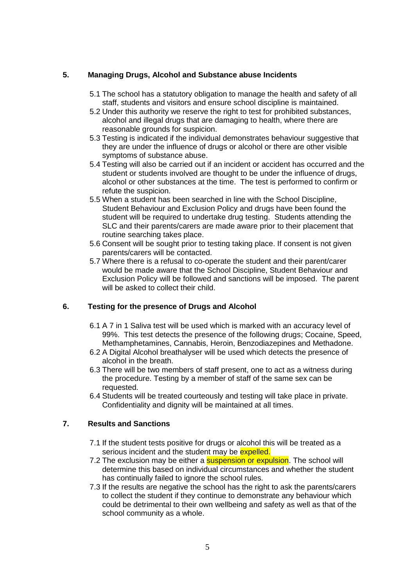#### <span id="page-4-0"></span>**5. Managing Drugs, Alcohol and Substance abuse Incidents**

- 5.1 The school has a statutory obligation to manage the health and safety of all staff, students and visitors and ensure school discipline is maintained.
- 5.2 Under this authority we reserve the right to test for prohibited substances, alcohol and illegal drugs that are damaging to health, where there are reasonable grounds for suspicion.
- 5.3 Testing is indicated if the individual demonstrates behaviour suggestive that they are under the influence of drugs or alcohol or there are other visible symptoms of substance abuse.
- 5.4 Testing will also be carried out if an incident or accident has occurred and the student or students involved are thought to be under the influence of drugs, alcohol or other substances at the time. The test is performed to confirm or refute the suspicion.
- 5.5 When a student has been searched in line with the School Discipline, Student Behaviour and Exclusion Policy and drugs have been found the student will be required to undertake drug testing. Students attending the SLC and their parents/carers are made aware prior to their placement that routine searching takes place.
- 5.6 Consent will be sought prior to testing taking place. If consent is not given parents/carers will be contacted.
- 5.7 Where there is a refusal to co-operate the student and their parent/carer would be made aware that the School Discipline, Student Behaviour and Exclusion Policy will be followed and sanctions will be imposed. The parent will be asked to collect their child.

#### <span id="page-4-1"></span>**6. Testing for the presence of Drugs and Alcohol**

- 6.1 A 7 in 1 Saliva test will be used which is marked with an accuracy level of 99%. This test detects the presence of the following drugs; Cocaine, Speed, Methamphetamines, Cannabis, Heroin, Benzodiazepines and Methadone.
- 6.2 A Digital Alcohol breathalyser will be used which detects the presence of alcohol in the breath.
- 6.3 There will be two members of staff present, one to act as a witness during the procedure. Testing by a member of staff of the same sex can be requested.
- 6.4 Students will be treated courteously and testing will take place in private. Confidentiality and dignity will be maintained at all times.

#### <span id="page-4-2"></span>**7. Results and Sanctions**

- 7.1 If the student tests positive for drugs or alcohol this will be treated as a serious incident and the student may be expelled.
- 7.2 The exclusion may be either a **suspension or expulsion**. The school will determine this based on individual circumstances and whether the student has continually failed to ignore the school rules.
- 7.3 If the results are negative the school has the right to ask the parents/carers to collect the student if they continue to demonstrate any behaviour which could be detrimental to their own wellbeing and safety as well as that of the school community as a whole.